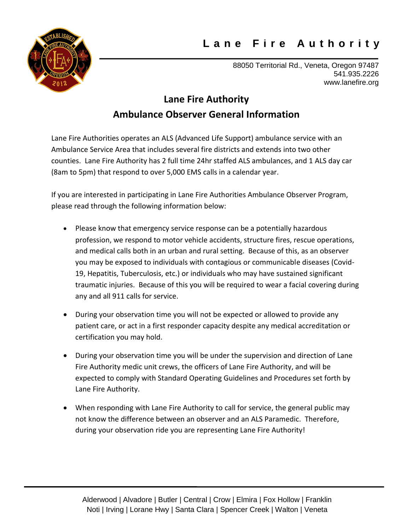## **L a n e F i r e A u t h o r i t y**



88050 Territorial Rd., Veneta, Oregon 97487 541.935.2226 www.lanefire.org

## **Lane Fire Authority Ambulance Observer General Information**

Lane Fire Authorities operates an ALS (Advanced Life Support) ambulance service with an Ambulance Service Area that includes several fire districts and extends into two other counties. Lane Fire Authority has 2 full time 24hr staffed ALS ambulances, and 1 ALS day car (8am to 5pm) that respond to over 5,000 EMS calls in a calendar year.

If you are interested in participating in Lane Fire Authorities Ambulance Observer Program, please read through the following information below:

- Please know that emergency service response can be a potentially hazardous profession, we respond to motor vehicle accidents, structure fires, rescue operations, and medical calls both in an urban and rural setting. Because of this, as an observer you may be exposed to individuals with contagious or communicable diseases (Covid-19, Hepatitis, Tuberculosis, etc.) or individuals who may have sustained significant traumatic injuries. Because of this you will be required to wear a facial covering during any and all 911 calls for service.
- During your observation time you will not be expected or allowed to provide any patient care, or act in a first responder capacity despite any medical accreditation or certification you may hold.
- During your observation time you will be under the supervision and direction of Lane Fire Authority medic unit crews, the officers of Lane Fire Authority, and will be expected to comply with Standard Operating Guidelines and Procedures set forth by Lane Fire Authority.
- When responding with Lane Fire Authority to call for service, the general public may not know the difference between an observer and an ALS Paramedic. Therefore, during your observation ride you are representing Lane Fire Authority!